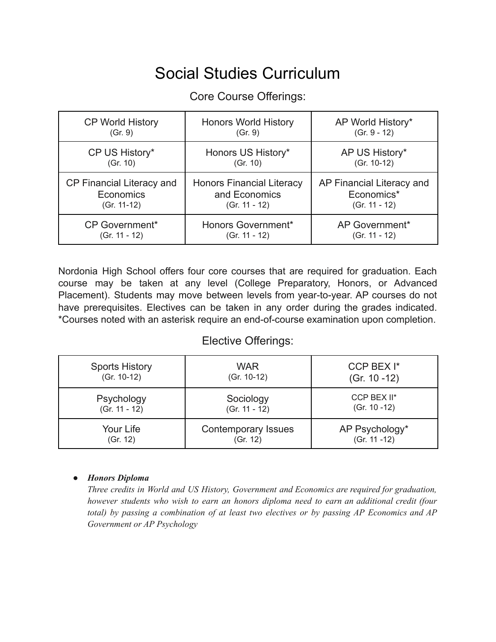# Social Studies Curriculum

### Core Course Offerings:

| <b>CP World History</b>   | <b>Honors World History</b>      | AP World History*         |
|---------------------------|----------------------------------|---------------------------|
| (Gr. 9)                   | (Gr. 9)                          | $(Gr. 9 - 12)$            |
| CP US History*            | Honors US History*               | AP US History*            |
| (Gr. 10)                  | (Gr. 10)                         | (Gr. 10-12)               |
| CP Financial Literacy and | <b>Honors Financial Literacy</b> | AP Financial Literacy and |
| Economics                 | and Economics                    | Economics*                |
| $(Gr. 11-12)$             | $(Gr. 11 - 12)$                  | $(Gr. 11 - 12)$           |
| <b>CP Government*</b>     | Honors Government*               | AP Government*            |
| $(Gr. 11 - 12)$           | $(Gr. 11 - 12)$                  | $(Gr. 11 - 12)$           |

Nordonia High School offers four core courses that are required for graduation. Each course may be taken at any level (College Preparatory, Honors, or Advanced Placement). Students may move between levels from year-to-year. AP courses do not have prerequisites. Electives can be taken in any order during the grades indicated. \*Courses noted with an asterisk require an end-of-course examination upon completion.

#### Elective Offerings:

| <b>Sports History</b> | WAR                        | CCP BEX I*      |
|-----------------------|----------------------------|-----------------|
| (Gr. 10-12)           | (Gr. 10-12)                | $(Gr. 10 - 12)$ |
| Psychology            | Sociology                  | CCP BEX II*     |
| $(Gr. 11 - 12)$       | $(Gr. 11 - 12)$            | $(Gr. 10 - 12)$ |
| Your Life             | <b>Contemporary Issues</b> | AP Psychology*  |
| (Gr. 12)              | (Gr. 12)                   | (Gr. 11 -12)    |

#### *● Honors Diploma*

*Three credits in World and US History, Government and Economics are required for graduation, however students who wish to earn an honors diploma need to earn an additional credit (four total) by passing a combination of at least two electives or by passing AP Economics and AP Government or AP Psychology*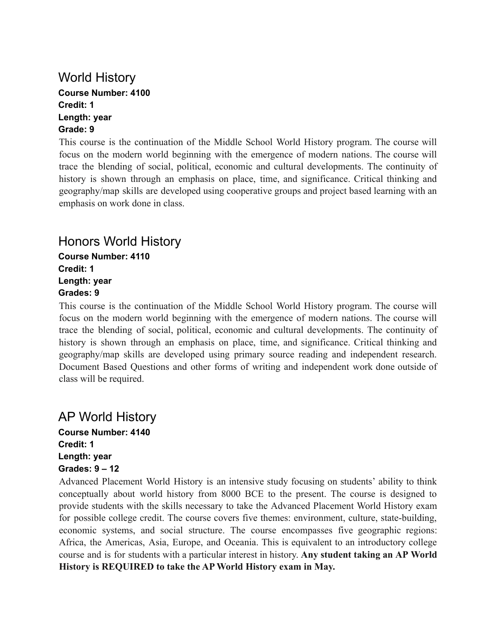### World History **Course Number: 4100 Credit: 1 Length: year Grade: 9**

This course is the continuation of the Middle School World History program. The course will focus on the modern world beginning with the emergence of modern nations. The course will trace the blending of social, political, economic and cultural developments. The continuity of history is shown through an emphasis on place, time, and significance. Critical thinking and geography/map skills are developed using cooperative groups and project based learning with an emphasis on work done in class.

### Honors World History

**Course Number: 4110 Credit: 1 Length: year Grades: 9**

This course is the continuation of the Middle School World History program. The course will focus on the modern world beginning with the emergence of modern nations. The course will trace the blending of social, political, economic and cultural developments. The continuity of history is shown through an emphasis on place, time, and significance. Critical thinking and geography/map skills are developed using primary source reading and independent research. Document Based Questions and other forms of writing and independent work done outside of class will be required.

# AP World History

**Course Number: 4140 Credit: 1 Length: year Grades: 9 – 12**

Advanced Placement World History is an intensive study focusing on students' ability to think conceptually about world history from 8000 BCE to the present. The course is designed to provide students with the skills necessary to take the Advanced Placement World History exam for possible college credit. The course covers five themes: environment, culture, state-building, economic systems, and social structure. The course encompasses five geographic regions: Africa, the Americas, Asia, Europe, and Oceania. This is equivalent to an introductory college course and is for students with a particular interest in history. **Any student taking an AP World History is REQUIRED to take the AP World History exam in May.**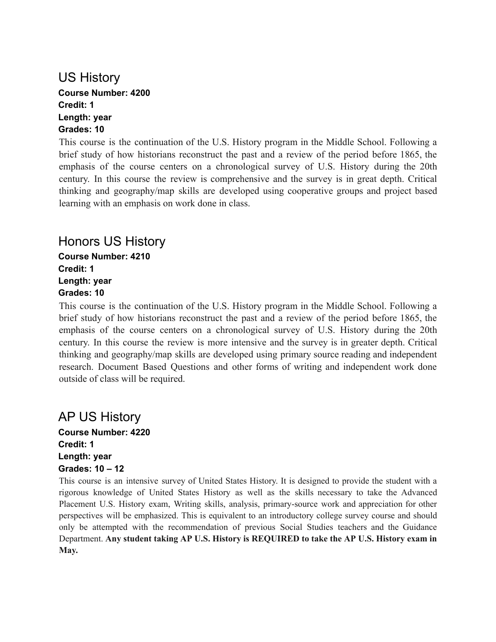### US History **Course Number: 4200 Credit: 1 Length: year Grades: 10**

This course is the continuation of the U.S. History program in the Middle School. Following a brief study of how historians reconstruct the past and a review of the period before 1865, the emphasis of the course centers on a chronological survey of U.S. History during the 20th century. In this course the review is comprehensive and the survey is in great depth. Critical thinking and geography/map skills are developed using cooperative groups and project based learning with an emphasis on work done in class.

# Honors US History

**Course Number: 4210 Credit: 1 Length: year Grades: 10**

This course is the continuation of the U.S. History program in the Middle School. Following a brief study of how historians reconstruct the past and a review of the period before 1865, the emphasis of the course centers on a chronological survey of U.S. History during the 20th century. In this course the review is more intensive and the survey is in greater depth. Critical thinking and geography/map skills are developed using primary source reading and independent research. Document Based Questions and other forms of writing and independent work done outside of class will be required.

# AP US History

**Course Number: 4220 Credit: 1 Length: year Grades: 10 – 12**

This course is an intensive survey of United States History. It is designed to provide the student with a rigorous knowledge of United States History as well as the skills necessary to take the Advanced Placement U.S. History exam, Writing skills, analysis, primary-source work and appreciation for other perspectives will be emphasized. This is equivalent to an introductory college survey course and should only be attempted with the recommendation of previous Social Studies teachers and the Guidance Department. **Any student taking AP U.S. History is REQUIRED to take the AP U.S. History exam in May.**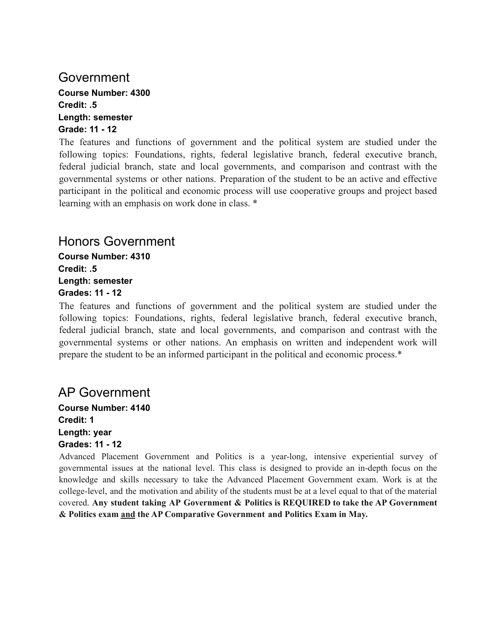### Government

**Course Number: 4300 Credit: .5 Length: semester Grade: 11 - 12**

The features and functions of government and the political system are studied under the following topics: Foundations, rights, federal legislative branch, federal executive branch, federal judicial branch, state and local governments, and comparison and contrast with the governmental systems or other nations. Preparation of the student to be an active and effective participant in the political and economic process will use cooperative groups and project based learning with an emphasis on work done in class. \*

### Honors Government

**Course Number: 4310 Credit: .5 Length: semester Grades: 11 - 12**

The features and functions of government and the political system are studied under the following topics: Foundations, rights, federal legislative branch, federal executive branch, federal judicial branch, state and local governments, and comparison and contrast with the governmental systems or other nations. An emphasis on written and independent work will prepare the student to be an informed participant in the political and economic process.\*

## AP Government

**Course Number: 4140 Credit: 1 Length: year Grades: 11 - 12**

Advanced Placement Government and Politics is a year-long, intensive experiential survey of governmental issues at the national level. This class is designed to provide an in-depth focus on the knowledge and skills necessary to take the Advanced Placement Government exam. Work is at the college-level, and the motivation and ability of the students must be at a level equal to that of the material covered. **Any student taking AP Government & Politics is REQUIRED to take the AP Government & Politics exam and the AP Comparative Government and Politics Exam in May.**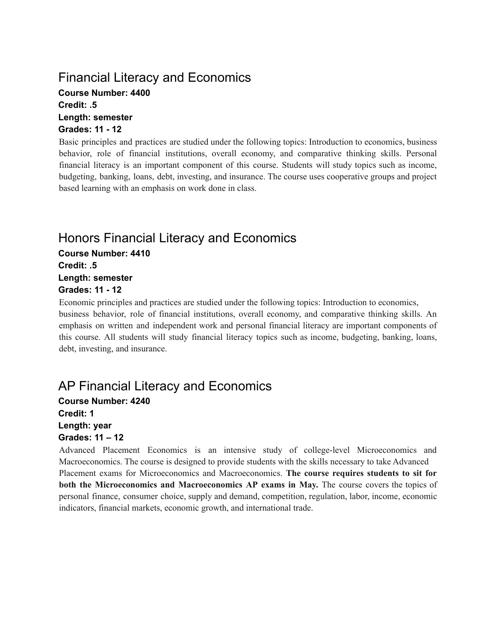# Financial Literacy and Economics

**Course Number: 4400 Credit: .5 Length: semester Grades: 11 - 12**

Basic principles and practices are studied under the following topics: Introduction to economics, business behavior, role of financial institutions, overall economy, and comparative thinking skills. Personal financial literacy is an important component of this course. Students will study topics such as income, budgeting, banking, loans, debt, investing, and insurance. The course uses cooperative groups and project based learning with an emphasis on work done in class.

# Honors Financial Literacy and Economics

**Course Number: 4410 Credit: .5 Length: semester Grades: 11 - 12**

Economic principles and practices are studied under the following topics: Introduction to economics, business behavior, role of financial institutions, overall economy, and comparative thinking skills. An emphasis on written and independent work and personal financial literacy are important components of this course. All students will study financial literacy topics such as income, budgeting, banking, loans, debt, investing, and insurance.

# AP Financial Literacy and Economics

**Course Number: 4240 Credit: 1 Length: year Grades: 11 – 12**

Advanced Placement Economics is an intensive study of college-level Microeconomics and Macroeconomics. The course is designed to provide students with the skills necessary to take Advanced Placement exams for Microeconomics and Macroeconomics. **The course requires students to sit for both the Microeconomics and Macroeconomics AP exams in May.** The course covers the topics of personal finance, consumer choice, supply and demand, competition, regulation, labor, income, economic indicators, financial markets, economic growth, and international trade.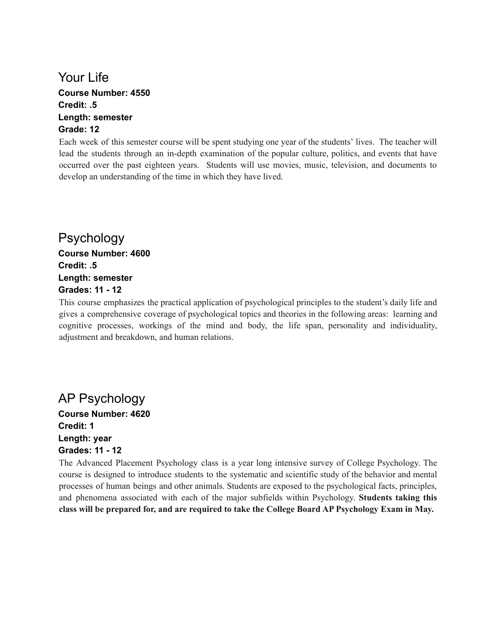#### Your Life **Course Number: 4550 Credit: .5 Length: semester Grade: 12**

Each week of this semester course will be spent studying one year of the students' lives. The teacher will lead the students through an in-depth examination of the popular culture, politics, and events that have occurred over the past eighteen years. Students will use movies, music, television, and documents to develop an understanding of the time in which they have lived.

Psychology **Course Number: 4600 Credit: .5 Length: semester Grades: 11 - 12**

This course emphasizes the practical application of psychological principles to the student's daily life and gives a comprehensive coverage of psychological topics and theories in the following areas: learning and cognitive processes, workings of the mind and body, the life span, personality and individuality, adjustment and breakdown, and human relations.

#### AP Psychology **Course Number: 4620 Credit: 1**

**Length: year Grades: 11 - 12**

The Advanced Placement Psychology class is a year long intensive survey of College Psychology. The course is designed to introduce students to the systematic and scientific study of the behavior and mental processes of human beings and other animals. Students are exposed to the psychological facts, principles, and phenomena associated with each of the major subfields within Psychology. **Students taking this class will be prepared for, and are required to take the College Board AP Psychology Exam in May.**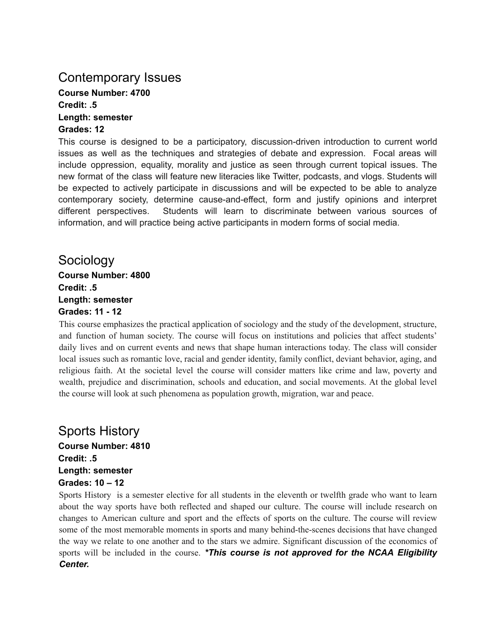## Contemporary Issues

**Course Number: 4700 Credit: .5 Length: semester**

### **Grades: 12**

This course is designed to be a participatory, discussion-driven introduction to current world issues as well as the techniques and strategies of debate and expression. Focal areas will include oppression, equality, morality and justice as seen through current topical issues. The new format of the class will feature new literacies like Twitter, podcasts, and vlogs. Students will be expected to actively participate in discussions and will be expected to be able to analyze contemporary society, determine cause-and-effect, form and justify opinions and interpret different perspectives. Students will learn to discriminate between various sources of information, and will practice being active participants in modern forms of social media.

Sociology **Course Number: 4800 Credit: .5 Length: semester Grades: 11 - 12**

This course emphasizes the practical application of sociology and the study of the development, structure, and function of human society. The course will focus on institutions and policies that affect students' daily lives and on current events and news that shape human interactions today. The class will consider local issues such as romantic love, racial and gender identity, family conflict, deviant behavior, aging, and religious faith. At the societal level the course will consider matters like crime and law, poverty and wealth, prejudice and discrimination, schools and education, and social movements. At the global level the course will look at such phenomena as population growth, migration, war and peace.

# Sports History

**Course Number: 4810 Credit: .5 Length: semester Grades: 10 – 12**

Sports History is a semester elective for all students in the eleventh or twelfth grade who want to learn about the way sports have both reflected and shaped our culture. The course will include research on changes to American culture and sport and the effects of sports on the culture. The course will review some of the most memorable moments in sports and many behind-the-scenes decisions that have changed the way we relate to one another and to the stars we admire. Significant discussion of the economics of sports will be included in the course. *\*This course is not approved for the NCAA Eligibility Center.*